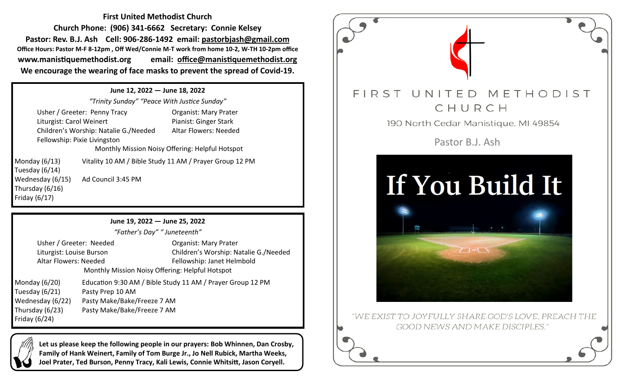**First United Methodist Church Church Phone: (906) 341-6662 Secretary: Connie Kelsey Pastor: Rev. B.J. Ash Cell: 906-286-1492 email: pastorbjash@gmail.com Office Hours: Pastor M-F 8-12pm , Off Wed/Connie M-T work from home 10-2, W-TH 10-2pm office www.manistiquemethodist.org email: office@manistiquemethodist.org We encourage the wearing of face masks to prevent the spread of Covid-19.**

**June 12, 2022 — June 18, 2022** *"Trinity Sunday" "Peace With Justice Sunday"* Usher / Greeter: Penny Tracy Organist: Mary Prater Liturgist: Carol Weinert Pianist: Ginger Stark Children's Worship: Natalie G./Needed Altar Flowers: Needed Fellowship: Pixie Livingston Monthly Mission Noisy Offering: Helpful Hotspot Monday (6/13) Vitality 10 AM / Bible Study 11 AM / Prayer Group 12 PM Tuesday (6/14) Wednesday (6/15) Ad Council 3:45 PM Thursday (6/16) Friday (6/17)

**June 19, 2022 — June 25, 2022**

*"Father's Day" " Juneteenth"*

Usher / Greeter: Needed Organist: Mary Prater Liturgist: Louise Burson Children's Worship: Natalie G./Needed Altar Flowers: Needed Fellowship: Janet Helmbold

Tuesday (6/21) Pasty Prep 10 AM Friday (6/24)

Monthly Mission Noisy Offering: Helpful Hotspot Monday (6/20) Education 9:30 AM / Bible Study 11 AM / Prayer Group 12 PM Wednesday (6/22) Pasty Make/Bake/Freeze 7 AM Thursday (6/23) Pasty Make/Bake/Freeze 7 AM

**Let us please keep the following people in our prayers: Bob Whinnen, Dan Crosby, Family of Hank Weinert, Family of Tom Burge Jr., Jo Nell Rubick, Martha Weeks, Joel Prater, Ted Burson, Penny Tracy, Kali Lewis, Connie Whitsitt, Jason Coryell.**